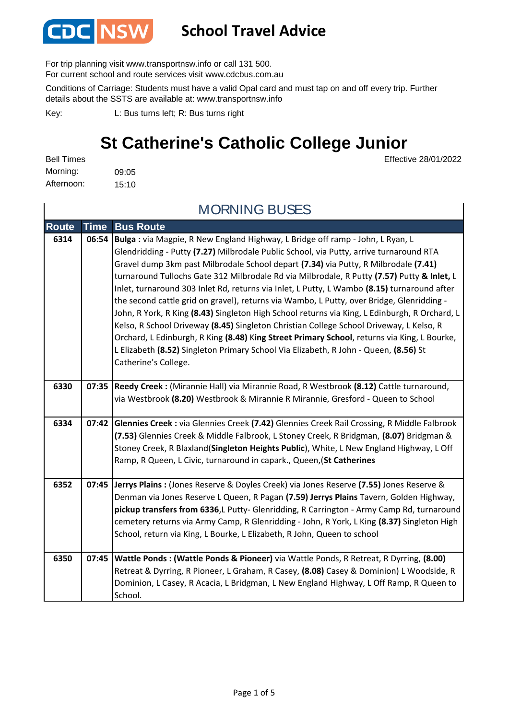

#### **School Travel Advice**

For trip planning visit www.transportnsw.info or call 131 500.

For current school and route services visit www.cdcbus.com.au

Conditions of Carriage: Students must have a valid Opal card and must tap on and off every trip. Further details about the SSTS are available at: www.transportnsw.info

L: Bus turns left; R: Bus turns right Key:

#### **St Catherine's Catholic College Junior**

Effective 28/01/2022

09:05 15:10 Afternoon: Bell Times Morning:

|              | <b>MORNING BUSES</b> |                                                                                                                                                                                                                                                                                                                                                                                                                                                                                                                                                                                                                                                                                                                                                                                                                                                                                                                                                                      |  |
|--------------|----------------------|----------------------------------------------------------------------------------------------------------------------------------------------------------------------------------------------------------------------------------------------------------------------------------------------------------------------------------------------------------------------------------------------------------------------------------------------------------------------------------------------------------------------------------------------------------------------------------------------------------------------------------------------------------------------------------------------------------------------------------------------------------------------------------------------------------------------------------------------------------------------------------------------------------------------------------------------------------------------|--|
| <b>Route</b> | <b>Time</b>          | <b>Bus Route</b>                                                                                                                                                                                                                                                                                                                                                                                                                                                                                                                                                                                                                                                                                                                                                                                                                                                                                                                                                     |  |
| 6314         | 06:54                | Bulga : via Magpie, R New England Highway, L Bridge off ramp - John, L Ryan, L<br>Glendridding - Putty (7.27) Milbrodale Public School, via Putty, arrive turnaround RTA<br>Gravel dump 3km past Milbrodale School depart (7.34) via Putty, R Milbrodale (7.41)<br>turnaround Tullochs Gate 312 Milbrodale Rd via Milbrodale, R Putty (7.57) Putty & Inlet, L<br>Inlet, turnaround 303 Inlet Rd, returns via Inlet, L Putty, L Wambo (8.15) turnaround after<br>the second cattle grid on gravel), returns via Wambo, L Putty, over Bridge, Glenridding -<br>John, R York, R King (8.43) Singleton High School returns via King, L Edinburgh, R Orchard, L<br>Kelso, R School Driveway (8.45) Singleton Christian College School Driveway, L Kelso, R<br>Orchard, L Edinburgh, R King (8.48) King Street Primary School, returns via King, L Bourke,<br>L Elizabeth (8.52) Singleton Primary School Via Elizabeth, R John - Queen, (8.56) St<br>Catherine's College. |  |
| 6330         |                      | 07:35 Reedy Creek : (Mirannie Hall) via Mirannie Road, R Westbrook (8.12) Cattle turnaround,<br>via Westbrook (8.20) Westbrook & Mirannie R Mirannie, Gresford - Queen to School                                                                                                                                                                                                                                                                                                                                                                                                                                                                                                                                                                                                                                                                                                                                                                                     |  |
| 6334         | 07:42                | Glennies Creek : via Glennies Creek (7.42) Glennies Creek Rail Crossing, R Middle Falbrook<br>(7.53) Glennies Creek & Middle Falbrook, L Stoney Creek, R Bridgman, (8.07) Bridgman &<br>Stoney Creek, R Blaxland(Singleton Heights Public), White, L New England Highway, L Off<br>Ramp, R Queen, L Civic, turnaround in capark., Queen, (St Catherines                                                                                                                                                                                                                                                                                                                                                                                                                                                                                                                                                                                                              |  |
| 6352         | 07:45                | Jerrys Plains : (Jones Reserve & Doyles Creek) via Jones Reserve (7.55) Jones Reserve &<br>Denman via Jones Reserve L Queen, R Pagan (7.59) Jerrys Plains Tavern, Golden Highway,<br>pickup transfers from 6336,L Putty- Glenridding, R Carrington - Army Camp Rd, turnaround<br>cemetery returns via Army Camp, R Glenridding - John, R York, L King (8.37) Singleton High<br>School, return via King, L Bourke, L Elizabeth, R John, Queen to school                                                                                                                                                                                                                                                                                                                                                                                                                                                                                                               |  |
| 6350         | 07:45                | Wattle Ponds: (Wattle Ponds & Pioneer) via Wattle Ponds, R Retreat, R Dyrring, (8.00)<br>Retreat & Dyrring, R Pioneer, L Graham, R Casey, (8.08) Casey & Dominion) L Woodside, R<br>Dominion, L Casey, R Acacia, L Bridgman, L New England Highway, L Off Ramp, R Queen to<br>School.                                                                                                                                                                                                                                                                                                                                                                                                                                                                                                                                                                                                                                                                                |  |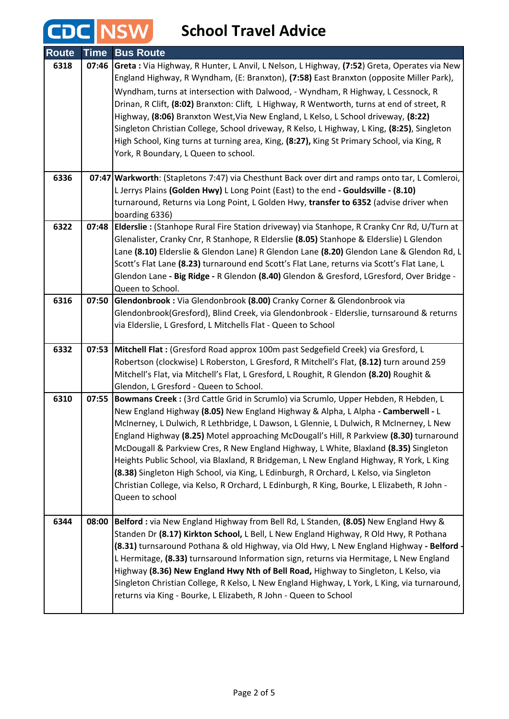### **CDC** NSW School Travel Advice

| <b>Route</b> | <b>Time</b> | <b>Bus Route</b>                                                                                                                                                                        |
|--------------|-------------|-----------------------------------------------------------------------------------------------------------------------------------------------------------------------------------------|
| 6318         | 07:46       | Greta : Via Highway, R Hunter, L Anvil, L Nelson, L Highway, (7:52) Greta, Operates via New                                                                                             |
|              |             | England Highway, R Wyndham, (E: Branxton), (7:58) East Branxton (opposite Miller Park),                                                                                                 |
|              |             | Wyndham, turns at intersection with Dalwood, - Wyndham, R Highway, L Cessnock, R                                                                                                        |
|              |             | Drinan, R Clift, (8:02) Branxton: Clift, L Highway, R Wentworth, turns at end of street, R                                                                                              |
|              |             | Highway, (8:06) Branxton West, Via New England, L Kelso, L School driveway, (8:22)                                                                                                      |
|              |             | Singleton Christian College, School driveway, R Kelso, L Highway, L King, (8:25), Singleton                                                                                             |
|              |             | High School, King turns at turning area, King, (8:27), King St Primary School, via King, R                                                                                              |
|              |             | York, R Boundary, L Queen to school.                                                                                                                                                    |
| 6336         |             | 07:47   Warkworth: (Stapletons 7:47) via Chesthunt Back over dirt and ramps onto tar, L Comleroi,                                                                                       |
|              |             | L Jerrys Plains (Golden Hwy) L Long Point (East) to the end - Gouldsville - (8.10)                                                                                                      |
|              |             | turnaround, Returns via Long Point, L Golden Hwy, transfer to 6352 (advise driver when                                                                                                  |
|              |             | boarding 6336)                                                                                                                                                                          |
| 6322         | 07:48       | Elderslie : (Stanhope Rural Fire Station driveway) via Stanhope, R Cranky Cnr Rd, U/Turn at                                                                                             |
|              |             | Glenalister, Cranky Cnr, R Stanhope, R Elderslie (8.05) Stanhope & Elderslie) L Glendon                                                                                                 |
|              |             | Lane (8.10) Elderslie & Glendon Lane) R Glendon Lane (8.20) Glendon Lane & Glendon Rd, L                                                                                                |
|              |             | Scott's Flat Lane (8.23) turnaround end Scott's Flat Lane, returns via Scott's Flat Lane, L<br>Glendon Lane - Big Ridge - R Glendon (8.40) Glendon & Gresford, LGresford, Over Bridge - |
|              |             | Queen to School.                                                                                                                                                                        |
| 6316         | 07:50       | Glendonbrook: Via Glendonbrook (8.00) Cranky Corner & Glendonbrook via                                                                                                                  |
|              |             | Glendonbrook(Gresford), Blind Creek, via Glendonbrook - Elderslie, turnsaround & returns                                                                                                |
|              |             | via Elderslie, L Gresford, L Mitchells Flat - Queen to School                                                                                                                           |
|              |             |                                                                                                                                                                                         |
| 6332         | 07:53       | Mitchell Flat : (Gresford Road approx 100m past Sedgefield Creek) via Gresford, L                                                                                                       |
|              |             | Robertson (clockwise) L Roberston, L Gresford, R Mitchell's Flat, (8.12) turn around 259                                                                                                |
|              |             | Mitchell's Flat, via Mitchell's Flat, L Gresford, L Roughit, R Glendon (8.20) Roughit &                                                                                                 |
|              |             | Glendon, L Gresford - Queen to School.                                                                                                                                                  |
| 6310         | 07:55       | Bowmans Creek : (3rd Cattle Grid in Scrumlo) via Scrumlo, Upper Hebden, R Hebden, L                                                                                                     |
|              |             | New England Highway (8.05) New England Highway & Alpha, L Alpha - Camberwell - L<br>McInerney, L Dulwich, R Lethbridge, L Dawson, L Glennie, L Dulwich, R McInerney, L New              |
|              |             | England Highway (8.25) Motel approaching McDougall's Hill, R Parkview (8.30) turnaround                                                                                                 |
|              |             | McDougall & Parkview Cres, R New England Highway, L White, Blaxland (8.35) Singleton                                                                                                    |
|              |             | Heights Public School, via Blaxland, R Bridgeman, L New England Highway, R York, L King                                                                                                 |
|              |             | (8.38) Singleton High School, via King, L Edinburgh, R Orchard, L Kelso, via Singleton                                                                                                  |
|              |             | Christian College, via Kelso, R Orchard, L Edinburgh, R King, Bourke, L Elizabeth, R John -                                                                                             |
|              |             | Queen to school                                                                                                                                                                         |
|              |             |                                                                                                                                                                                         |
| 6344         | 08:00       | Belford : via New England Highway from Bell Rd, L Standen, (8.05) New England Hwy &<br>Standen Dr (8.17) Kirkton School, L Bell, L New England Highway, R Old Hwy, R Pothana            |
|              |             | (8.31) turnsaround Pothana & old Highway, via Old Hwy, L New England Highway - Belford ·                                                                                                |
|              |             | L Hermitage, (8.33) turnsaround Information sign, returns via Hermitage, L New England                                                                                                  |
|              |             | Highway (8.36) New England Hwy Nth of Bell Road, Highway to Singleton, L Kelso, via                                                                                                     |
|              |             | Singleton Christian College, R Kelso, L New England Highway, L York, L King, via turnaround,                                                                                            |
|              |             | returns via King - Bourke, L Elizabeth, R John - Queen to School                                                                                                                        |
|              |             |                                                                                                                                                                                         |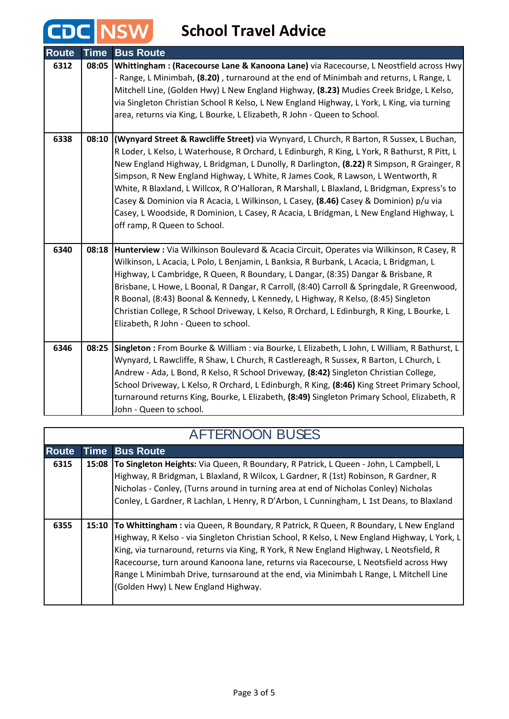#### **School Travel Advice**

**CDC NSW** 

| <b>Route</b> | <b>Time</b> | <b>Bus Route</b>                                                                              |
|--------------|-------------|-----------------------------------------------------------------------------------------------|
| 6312         | 08:05       | Whittingham: (Racecourse Lane & Kanoona Lane) via Racecourse, L Neostfield across Hwy         |
|              |             | - Range, L Minimbah, (8.20), turnaround at the end of Minimbah and returns, L Range, L        |
|              |             | Mitchell Line, (Golden Hwy) L New England Highway, (8.23) Mudies Creek Bridge, L Kelso,       |
|              |             | via Singleton Christian School R Kelso, L New England Highway, L York, L King, via turning    |
|              |             | area, returns via King, L Bourke, L Elizabeth, R John - Queen to School.                      |
| 6338         | 08:10       | (Wynyard Street & Rawcliffe Street) via Wynyard, L Church, R Barton, R Sussex, L Buchan,      |
|              |             | R Loder, L Kelso, L Waterhouse, R Orchard, L Edinburgh, R King, L York, R Bathurst, R Pitt, L |
|              |             | New England Highway, L Bridgman, L Dunolly, R Darlington, (8.22) R Simpson, R Grainger, R     |
|              |             | Simpson, R New England Highway, L White, R James Cook, R Lawson, L Wentworth, R               |
|              |             | White, R Blaxland, L Willcox, R O'Halloran, R Marshall, L Blaxland, L Bridgman, Express's to  |
|              |             | Casey & Dominion via R Acacia, L Wilkinson, L Casey, (8.46) Casey & Dominion) p/u via         |
|              |             | Casey, L Woodside, R Dominion, L Casey, R Acacia, L Bridgman, L New England Highway, L        |
|              |             | off ramp, R Queen to School.                                                                  |
| 6340         | 08:18       | Hunterview : Via Wilkinson Boulevard & Acacia Circuit, Operates via Wilkinson, R Casey, R     |
|              |             | Wilkinson, L Acacia, L Polo, L Benjamin, L Banksia, R Burbank, L Acacia, L Bridgman, L        |
|              |             | Highway, L Cambridge, R Queen, R Boundary, L Dangar, (8:35) Dangar & Brisbane, R              |
|              |             | Brisbane, L Howe, L Boonal, R Dangar, R Carroll, (8:40) Carroll & Springdale, R Greenwood,    |
|              |             | R Boonal, (8:43) Boonal & Kennedy, L Kennedy, L Highway, R Kelso, (8:45) Singleton            |
|              |             | Christian College, R School Driveway, L Kelso, R Orchard, L Edinburgh, R King, L Bourke, L    |
|              |             | Elizabeth, R John - Queen to school.                                                          |
| 6346         | 08:25       | Singleton : From Bourke & William : via Bourke, L Elizabeth, L John, L William, R Bathurst, L |
|              |             | Wynyard, L Rawcliffe, R Shaw, L Church, R Castlereagh, R Sussex, R Barton, L Church, L        |
|              |             | Andrew - Ada, L Bond, R Kelso, R School Driveway, (8:42) Singleton Christian College,         |
|              |             | School Driveway, L Kelso, R Orchard, L Edinburgh, R King, (8:46) King Street Primary School,  |
|              |             | turnaround returns King, Bourke, L Elizabeth, (8:49) Singleton Primary School, Elizabeth, R   |
|              |             | John - Queen to school.                                                                       |

| <b>AFTERNOON BUSES</b> |             |                                                                                                                                                                                                                                                                                                                                                                                                                                                                                                         |
|------------------------|-------------|---------------------------------------------------------------------------------------------------------------------------------------------------------------------------------------------------------------------------------------------------------------------------------------------------------------------------------------------------------------------------------------------------------------------------------------------------------------------------------------------------------|
| <b>Route</b>           | <b>Time</b> | <b>Bus Route</b>                                                                                                                                                                                                                                                                                                                                                                                                                                                                                        |
| 6315                   |             | 15:08 To Singleton Heights: Via Queen, R Boundary, R Patrick, L Queen - John, L Campbell, L<br>Highway, R Bridgman, L Blaxland, R Wilcox, L Gardner, R (1st) Robinson, R Gardner, R<br>Nicholas - Conley, (Turns around in turning area at end of Nicholas Conley) Nicholas<br>Conley, L Gardner, R Lachlan, L Henry, R D'Arbon, L Cunningham, L 1st Deans, to Blaxland                                                                                                                                 |
| 6355                   | 15:10       | To Whittingham: via Queen, R Boundary, R Patrick, R Queen, R Boundary, L New England<br>Highway, R Kelso - via Singleton Christian School, R Kelso, L New England Highway, L York, L<br>King, via turnaround, returns via King, R York, R New England Highway, L Neotsfield, R<br>Racecourse, turn around Kanoona lane, returns via Racecourse, L Neotsfield across Hwy<br>Range L Minimbah Drive, turnsaround at the end, via Minimbah L Range, L Mitchell Line<br>(Golden Hwy) L New England Highway. |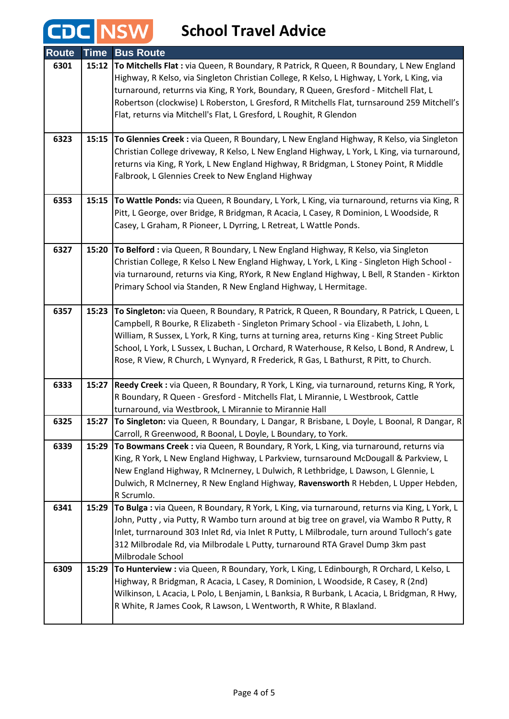# **CDC** NSW School Travel Advice

| <b>Route</b> | <b>Time</b> | <b>Bus Route</b>                                                                                                                                           |
|--------------|-------------|------------------------------------------------------------------------------------------------------------------------------------------------------------|
| 6301         | 15:12       | To Mitchells Flat : via Queen, R Boundary, R Patrick, R Queen, R Boundary, L New England                                                                   |
|              |             | Highway, R Kelso, via Singleton Christian College, R Kelso, L Highway, L York, L King, via                                                                 |
|              |             | turnaround, returrns via King, R York, Boundary, R Queen, Gresford - Mitchell Flat, L                                                                      |
|              |             | Robertson (clockwise) L Roberston, L Gresford, R Mitchells Flat, turnsaround 259 Mitchell's                                                                |
|              |             | Flat, returns via Mitchell's Flat, L Gresford, L Roughit, R Glendon                                                                                        |
|              |             |                                                                                                                                                            |
| 6323         | 15:15       | To Glennies Creek : via Queen, R Boundary, L New England Highway, R Kelso, via Singleton                                                                   |
|              |             | Christian College driveway, R Kelso, L New England Highway, L York, L King, via turnaround,                                                                |
|              |             | returns via King, R York, L New England Highway, R Bridgman, L Stoney Point, R Middle                                                                      |
|              |             | Falbrook, L Glennies Creek to New England Highway                                                                                                          |
| 6353         | 15:15       | To Wattle Ponds: via Queen, R Boundary, L York, L King, via turnaround, returns via King, R                                                                |
|              |             | Pitt, L George, over Bridge, R Bridgman, R Acacia, L Casey, R Dominion, L Woodside, R                                                                      |
|              |             | Casey, L Graham, R Pioneer, L Dyrring, L Retreat, L Wattle Ponds.                                                                                          |
|              |             |                                                                                                                                                            |
| 6327         | 15:20       | To Belford : via Queen, R Boundary, L New England Highway, R Kelso, via Singleton                                                                          |
|              |             | Christian College, R Kelso L New England Highway, L York, L King - Singleton High School -                                                                 |
|              |             | via turnaround, returns via King, RYork, R New England Highway, L Bell, R Standen - Kirkton                                                                |
|              |             | Primary School via Standen, R New England Highway, L Hermitage.                                                                                            |
| 6357         | 15:23       | To Singleton: via Queen, R Boundary, R Patrick, R Queen, R Boundary, R Patrick, L Queen, L                                                                 |
|              |             | Campbell, R Bourke, R Elizabeth - Singleton Primary School - via Elizabeth, L John, L                                                                      |
|              |             | William, R Sussex, L York, R King, turns at turning area, returns King - King Street Public                                                                |
|              |             | School, L York, L Sussex, L Buchan, L Orchard, R Waterhouse, R Kelso, L Bond, R Andrew, L                                                                  |
|              |             | Rose, R View, R Church, L Wynyard, R Frederick, R Gas, L Bathurst, R Pitt, to Church.                                                                      |
|              |             |                                                                                                                                                            |
| 6333         | 15:27       | Reedy Creek : via Queen, R Boundary, R York, L King, via turnaround, returns King, R York,                                                                 |
|              |             | R Boundary, R Queen - Gresford - Mitchells Flat, L Mirannie, L Westbrook, Cattle                                                                           |
| 6325         | 15:27       | turnaround, via Westbrook, L Mirannie to Mirannie Hall                                                                                                     |
|              |             | To Singleton: via Queen, R Boundary, L Dangar, R Brisbane, L Doyle, L Boonal, R Dangar, R<br>Carroll, R Greenwood, R Boonal, L Doyle, L Boundary, to York. |
| 6339         | 15:29       | To Bowmans Creek : via Queen, R Boundary, R York, L King, via turnaround, returns via                                                                      |
|              |             | King, R York, L New England Highway, L Parkview, turnsaround McDougall & Parkview, L                                                                       |
|              |             | New England Highway, R McInerney, L Dulwich, R Lethbridge, L Dawson, L Glennie, L                                                                          |
|              |             | Dulwich, R McInerney, R New England Highway, Ravensworth R Hebden, L Upper Hebden,                                                                         |
|              |             | R Scrumlo.                                                                                                                                                 |
| 6341         | 15:29       | To Bulga : via Queen, R Boundary, R York, L King, via turnaround, returns via King, L York, L                                                              |
|              |             | John, Putty, via Putty, R Wambo turn around at big tree on gravel, via Wambo R Putty, R                                                                    |
|              |             | Inlet, turrnaround 303 Inlet Rd, via Inlet R Putty, L Milbrodale, turn around Tulloch's gate                                                               |
|              |             | 312 Milbrodale Rd, via Milbrodale L Putty, turnaround RTA Gravel Dump 3km past                                                                             |
| 6309         | 15:29       | Milbrodale School<br>To Hunterview : via Queen, R Boundary, York, L King, L Edinbourgh, R Orchard, L Kelso, L                                              |
|              |             | Highway, R Bridgman, R Acacia, L Casey, R Dominion, L Woodside, R Casey, R (2nd)                                                                           |
|              |             | Wilkinson, L Acacia, L Polo, L Benjamin, L Banksia, R Burbank, L Acacia, L Bridgman, R Hwy,                                                                |
|              |             | R White, R James Cook, R Lawson, L Wentworth, R White, R Blaxland.                                                                                         |
|              |             |                                                                                                                                                            |